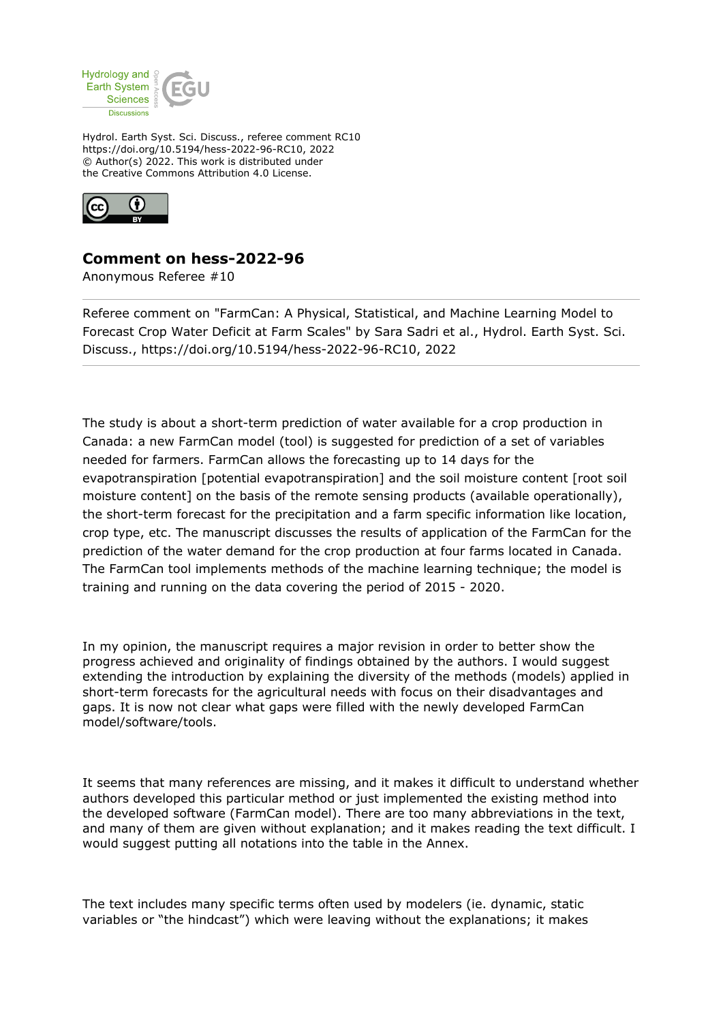

Hydrol. Earth Syst. Sci. Discuss., referee comment RC10 https://doi.org/10.5194/hess-2022-96-RC10, 2022 © Author(s) 2022. This work is distributed under the Creative Commons Attribution 4.0 License.



## **Comment on hess-2022-96**

Anonymous Referee #10

Referee comment on "FarmCan: A Physical, Statistical, and Machine Learning Model to Forecast Crop Water Deficit at Farm Scales" by Sara Sadri et al., Hydrol. Earth Syst. Sci. Discuss., https://doi.org/10.5194/hess-2022-96-RC10, 2022

The study is about a short-term prediction of water available for a crop production in Canada: a new FarmCan model (tool) is suggested for prediction of a set of variables needed for farmers. FarmCan allows the forecasting up to 14 days for the evapotranspiration [potential evapotranspiration] and the soil moisture content [root soil moisture content] on the basis of the remote sensing products (available operationally), the short-term forecast for the precipitation and a farm specific information like location, crop type, etc. The manuscript discusses the results of application of the FarmCan for the prediction of the water demand for the crop production at four farms located in Canada. The FarmCan tool implements methods of the machine learning technique; the model is training and running on the data covering the period of 2015 - 2020.

In my opinion, the manuscript requires a major revision in order to better show the progress achieved and originality of findings obtained by the authors. I would suggest extending the introduction by explaining the diversity of the methods (models) applied in short-term forecasts for the agricultural needs with focus on their disadvantages and gaps. It is now not clear what gaps were filled with the newly developed FarmCan model/software/tools.

It seems that many references are missing, and it makes it difficult to understand whether authors developed this particular method or just implemented the existing method into the developed software (FarmCan model). There are too many abbreviations in the text, and many of them are given without explanation; and it makes reading the text difficult. I would suggest putting all notations into the table in the Annex.

The text includes many specific terms often used by modelers (ie. dynamic, static variables or "the hindcast") which were leaving without the explanations; it makes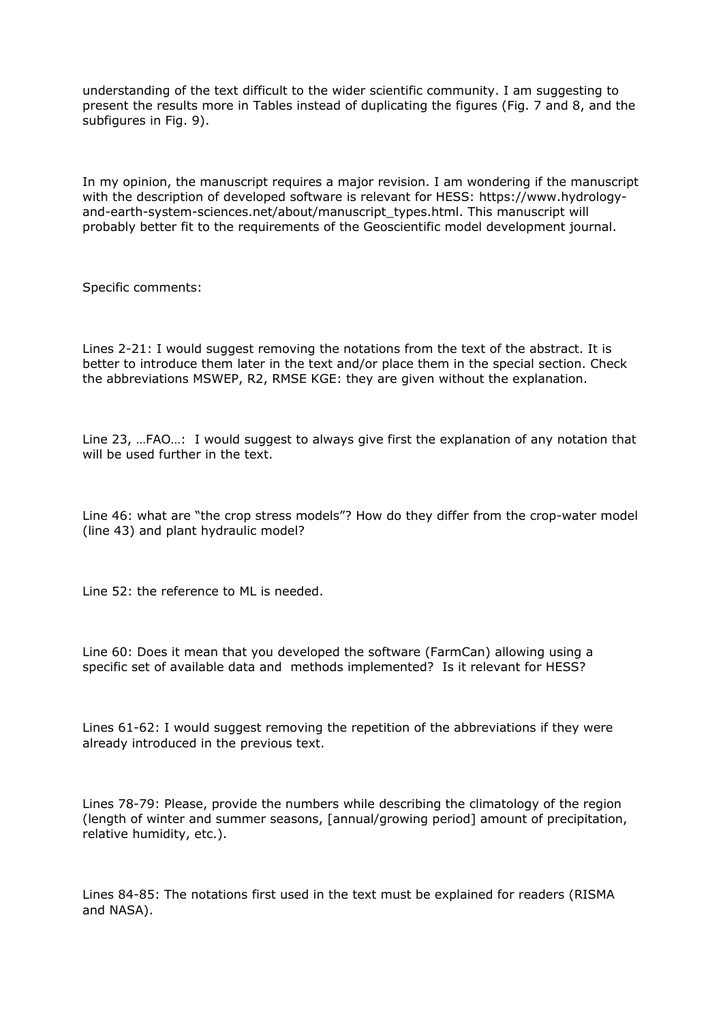understanding of the text difficult to the wider scientific community. I am suggesting to present the results more in Tables instead of duplicating the figures (Fig. 7 and 8, and the subfigures in Fig. 9).

In my opinion, the manuscript requires a major revision. I am wondering if the manuscript with the description of developed software is relevant for HESS: https://www.hydrologyand-earth-system-sciences.net/about/manuscript\_types.html. This manuscript will probably better fit to the requirements of the Geoscientific model development journal.

Specific comments:

Lines 2-21: I would suggest removing the notations from the text of the abstract. It is better to introduce them later in the text and/or place them in the special section. Check the abbreviations MSWEP, R2, RMSE KGE: they are given without the explanation.

Line 23, …FAO…: I would suggest to always give first the explanation of any notation that will be used further in the text.

Line 46: what are "the crop stress models"? How do they differ from the crop-water model (line 43) and plant hydraulic model?

Line 52: the reference to ML is needed.

Line 60: Does it mean that you developed the software (FarmCan) allowing using a specific set of available data and methods implemented? Is it relevant for HESS?

Lines 61-62: I would suggest removing the repetition of the abbreviations if they were already introduced in the previous text.

Lines 78-79: Please, provide the numbers while describing the climatology of the region (length of winter and summer seasons, [annual/growing period] amount of precipitation, relative humidity, etc.).

Lines 84-85: The notations first used in the text must be explained for readers (RISMA and NASA).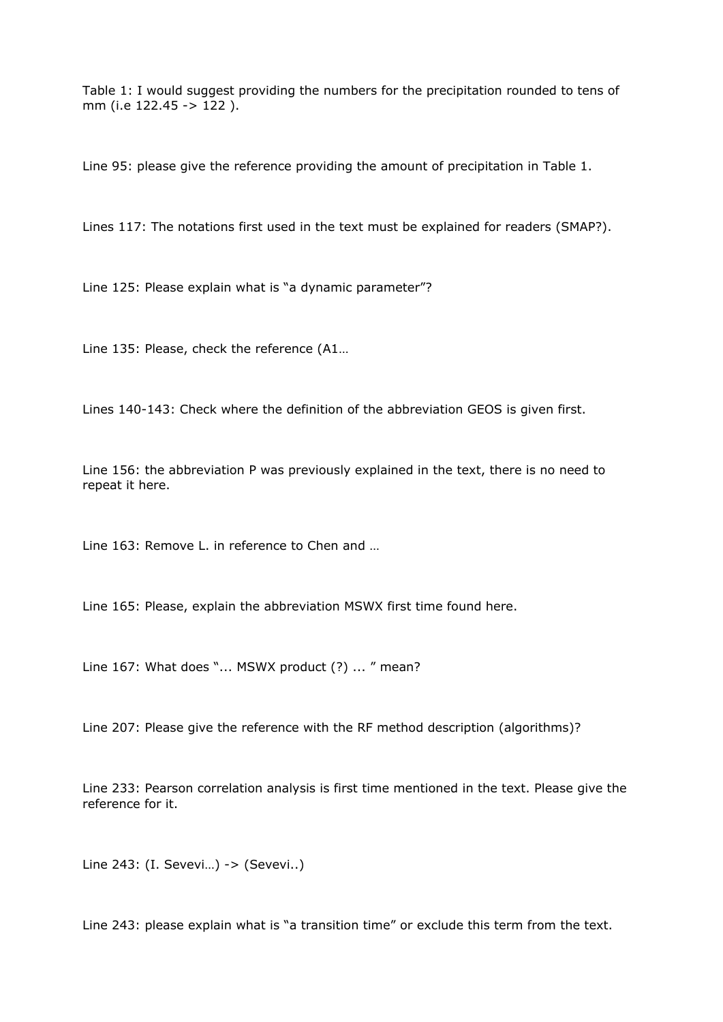Table 1: I would suggest providing the numbers for the precipitation rounded to tens of mm (i.e 122.45 -> 122 ).

Line 95: please give the reference providing the amount of precipitation in Table 1.

Lines 117: The notations first used in the text must be explained for readers (SMAP?).

Line 125: Please explain what is "a dynamic parameter"?

Line 135: Please, check the reference (A1…

Lines 140-143: Check where the definition of the abbreviation GEOS is given first.

Line 156: the abbreviation P was previously explained in the text, there is no need to repeat it here.

Line 163: Remove L. in reference to Chen and …

Line 165: Please, explain the abbreviation MSWX first time found here.

Line 167: What does "... MSWX product (?) ... " mean?

Line 207: Please give the reference with the RF method description (algorithms)?

Line 233: Pearson correlation analysis is first time mentioned in the text. Please give the reference for it.

Line 243: (I. Sevevi…) -> (Sevevi..)

Line 243: please explain what is "a transition time" or exclude this term from the text.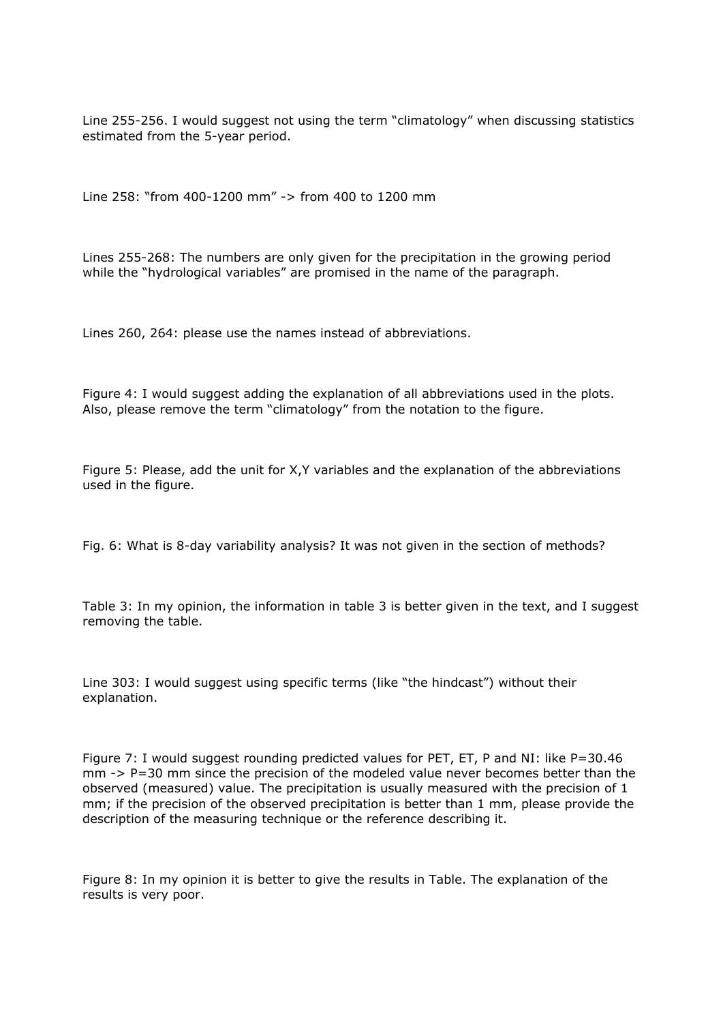Line 255-256. I would suggest not using the term "climatology" when discussing statistics estimated from the 5-year period.

Line 258: "from 400-1200 mm" -> from 400 to 1200 mm

Lines 255-268: The numbers are only given for the precipitation in the growing period while the "hydrological variables" are promised in the name of the paragraph.

Lines 260, 264: please use the names instead of abbreviations.

Figure 4: I would suggest adding the explanation of all abbreviations used in the plots. Also, please remove the term "climatology" from the notation to the figure.

Figure 5: Please, add the unit for X,Y variables and the explanation of the abbreviations used in the figure.

Fig. 6: What is 8-day variability analysis? It was not given in the section of methods?

Table 3: In my opinion, the information in table 3 is better given in the text, and I suggest removing the table.

Line 303: I would suggest using specific terms (like "the hindcast") without their explanation.

Figure 7: I would suggest rounding predicted values for PET, ET, P and NI: like P=30.46 mm -> P=30 mm since the precision of the modeled value never becomes better than the observed (measured) value. The precipitation is usually measured with the precision of 1 mm; if the precision of the observed precipitation is better than 1 mm, please provide the description of the measuring technique or the reference describing it.

Figure 8: In my opinion it is better to give the results in Table. The explanation of the results is very poor.